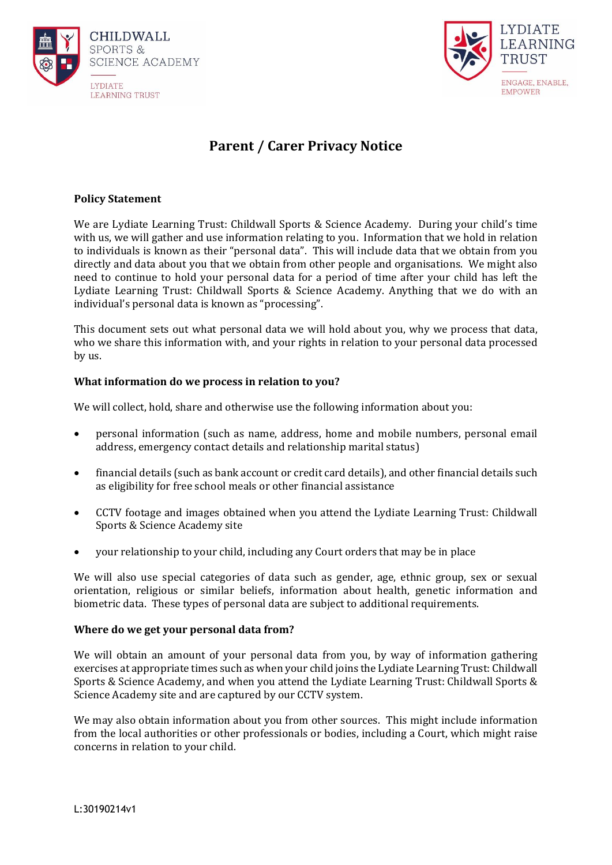



# **Parent / Carer Privacy Notice**

# **Policy Statement**

We are Lydiate Learning Trust: Childwall Sports & Science Academy. During your child's time with us, we will gather and use information relating to you. Information that we hold in relation to individuals is known as their "personal data". This will include data that we obtain from you directly and data about you that we obtain from other people and organisations. We might also need to continue to hold your personal data for a period of time after your child has left the Lydiate Learning Trust: Childwall Sports & Science Academy. Anything that we do with an individual's personal data is known as "processing".

This document sets out what personal data we will hold about you, why we process that data, who we share this information with, and your rights in relation to your personal data processed by us.

## **What information do we process in relation to you?**

We will collect, hold, share and otherwise use the following information about you:

- personal information (such as name, address, home and mobile numbers, personal email address, emergency contact details and relationship marital status)
- financial details (such as bank account or credit card details), and other financial details such as eligibility for free school meals or other financial assistance
- CCTV footage and images obtained when you attend the Lydiate Learning Trust: Childwall Sports & Science Academy site
- your relationship to your child, including any Court orders that may be in place

We will also use special categories of data such as gender, age, ethnic group, sex or sexual orientation, religious or similar beliefs, information about health, genetic information and biometric data. These types of personal data are subject to additional requirements.

#### **Where do we get your personal data from?**

We will obtain an amount of your personal data from you, by way of information gathering exercises at appropriate times such as when your child joins the Lydiate Learning Trust: Childwall Sports & Science Academy, and when you attend the Lydiate Learning Trust: Childwall Sports & Science Academy site and are captured by our CCTV system.

We may also obtain information about you from other sources. This might include information from the local authorities or other professionals or bodies, including a Court, which might raise concerns in relation to your child.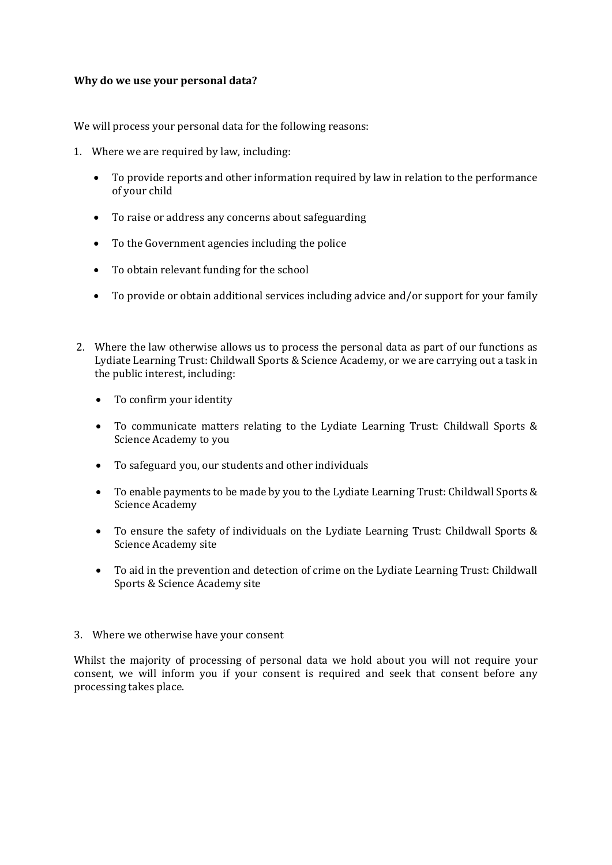## **Why do we use your personal data?**

We will process your personal data for the following reasons:

- 1. Where we are required by law, including:
	- To provide reports and other information required by law in relation to the performance of your child
	- To raise or address any concerns about safeguarding
	- To the Government agencies including the police
	- To obtain relevant funding for the school
	- To provide or obtain additional services including advice and/or support for your family
- 2. Where the law otherwise allows us to process the personal data as part of our functions as Lydiate Learning Trust: Childwall Sports & Science Academy, or we are carrying out a task in the public interest, including:
	- To confirm your identity
	- To communicate matters relating to the Lydiate Learning Trust: Childwall Sports & Science Academy to you
	- To safeguard you, our students and other individuals
	- To enable payments to be made by you to the Lydiate Learning Trust: Childwall Sports & Science Academy
	- To ensure the safety of individuals on the Lydiate Learning Trust: Childwall Sports & Science Academy site
	- To aid in the prevention and detection of crime on the Lydiate Learning Trust: Childwall Sports & Science Academy site
- 3. Where we otherwise have your consent

Whilst the majority of processing of personal data we hold about you will not require your consent, we will inform you if your consent is required and seek that consent before any processing takes place.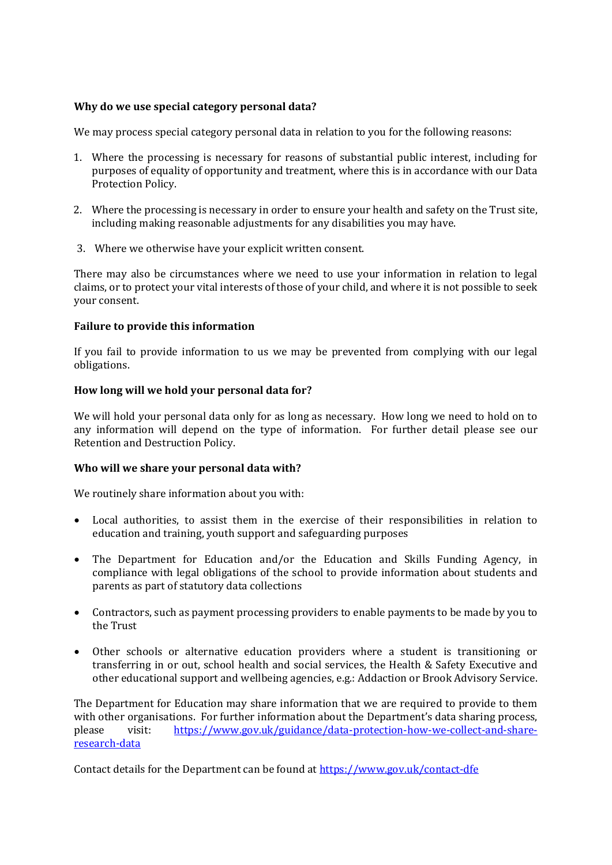## **Why do we use special category personal data?**

We may process special category personal data in relation to you for the following reasons:

- 1. Where the processing is necessary for reasons of substantial public interest, including for purposes of equality of opportunity and treatment, where this is in accordance with our Data Protection Policy.
- 2. Where the processing is necessary in order to ensure your health and safety on the Trust site, including making reasonable adjustments for any disabilities you may have.
- 3. Where we otherwise have your explicit written consent.

There may also be circumstances where we need to use your information in relation to legal claims, or to protect your vital interests of those of your child, and where it is not possible to seek your consent.

## **Failure to provide this information**

If you fail to provide information to us we may be prevented from complying with our legal obligations.

## **How long will we hold your personal data for?**

We will hold your personal data only for as long as necessary. How long we need to hold on to any information will depend on the type of information. For further detail please see our Retention and Destruction Policy.

#### **Who will we share your personal data with?**

We routinely share information about you with:

- Local authorities, to assist them in the exercise of their responsibilities in relation to education and training, youth support and safeguarding purposes
- The Department for Education and/or the Education and Skills Funding Agency, in compliance with legal obligations of the school to provide information about students and parents as part of statutory data collections
- Contractors, such as payment processing providers to enable payments to be made by you to the Trust
- Other schools or alternative education providers where a student is transitioning or transferring in or out, school health and social services, the Health & Safety Executive and other educational support and wellbeing agencies, e.g.: Addaction or Brook Advisory Service.

The Department for Education may share information that we are required to provide to them with other organisations. For further information about the Department's data sharing process, please visit: [https://www.gov.uk/guidance/data-protection-how-we-collect-and-share](https://www.gov.uk/guidance/data-protection-how-we-collect-and-share-research-data)[research-data](https://www.gov.uk/guidance/data-protection-how-we-collect-and-share-research-data)

Contact details for the Department can be found at<https://www.gov.uk/contact-dfe>